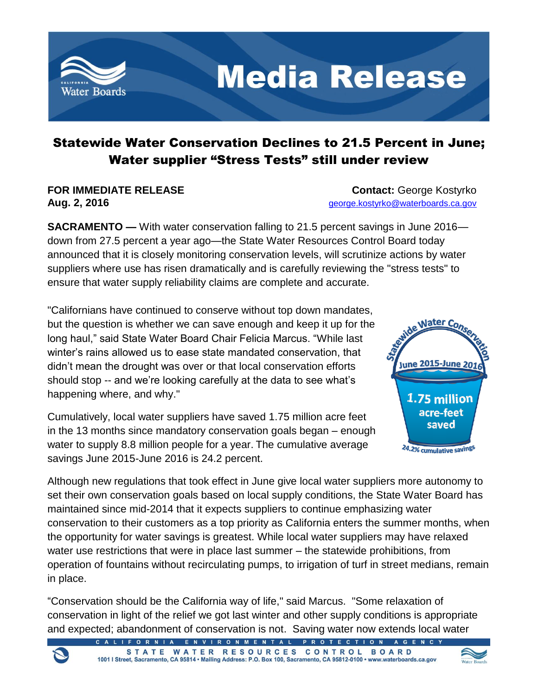

# Statewide Water Conservation Declines to 21.5 Percent in June; Water supplier "Stress Tests" still under review

**FOR IMMEDIATE RELEASE CONTACT: George Kostyrko Aug. 2, 2016** [george.kostyrko@waterboards.ca.gov](mailto:george.kostyrko@waterboards.ca.gov)

**SACRAMENTO —** With water conservation falling to 21.5 percent savings in June 2016 down from 27.5 percent a year ago—the State Water Resources Control Board today announced that it is closely monitoring conservation levels, will scrutinize actions by water suppliers where use has risen dramatically and is carefully reviewing the "stress tests" to ensure that water supply reliability claims are complete and accurate.

"Californians have continued to conserve without top down mandates, but the question is whether we can save enough and keep it up for the long haul," said State Water Board Chair Felicia Marcus. "While last winter's rains allowed us to ease state mandated conservation, that didn't mean the drought was over or that local conservation efforts should stop -- and we're looking carefully at the data to see what's happening where, and why."

Cumulatively, local water suppliers have saved 1.75 million acre feet in the 13 months since mandatory conservation goals began – enough water to supply 8.8 million people for a year. The cumulative average savings June 2015-June 2016 is 24.2 percent.



Although new regulations that took effect in June give local water suppliers more autonomy to set their own conservation goals based on local supply conditions, the State Water Board has maintained since mid-2014 that it expects suppliers to continue emphasizing water conservation to their customers as a top priority as California enters the summer months, when the opportunity for water savings is greatest. While local water suppliers may have relaxed water use restrictions that were in place last summer – the statewide prohibitions, from operation of fountains without recirculating pumps, to irrigation of turf in street medians, remain in place.

"Conservation should be the California way of life," said Marcus. "Some relaxation of conservation in light of the relief we got last winter and other supply conditions is appropriate and expected; abandonment of conservation is not. Saving water now extends local water

ENVIRONMENTAL PROTECTION



STATE WATER RESOURCES CONTROL BOARD 1001 | Street, Sacramento, CA 95814 · Mailing Address: P.O. Box 100, Sacramento, CA 95812-0100 · www.waterboards.ca.gov

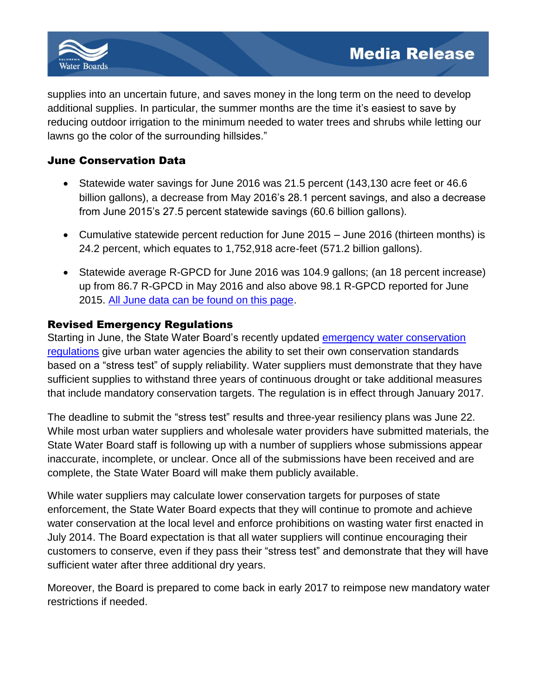

supplies into an uncertain future, and saves money in the long term on the need to develop additional supplies. In particular, the summer months are the time it's easiest to save by reducing outdoor irrigation to the minimum needed to water trees and shrubs while letting our lawns go the color of the surrounding hillsides."

### June Conservation Data

- Statewide water savings for June 2016 was 21.5 percent (143,130 acre feet or 46.6 billion gallons), a decrease from May 2016's 28.1 percent savings, and also a decrease from June 2015's 27.5 percent statewide savings (60.6 billion gallons).
- Cumulative statewide percent reduction for June 2015 June 2016 (thirteen months) is 24.2 percent, which equates to 1,752,918 acre-feet (571.2 billion gallons).
- Statewide average R-GPCD for June 2016 was 104.9 gallons; (an 18 percent increase) up from 86.7 R-GPCD in May 2016 and also above 98.1 R-GPCD reported for June 2015. All June [data can be found on this page.](http://www.waterboards.ca.gov/water_issues/programs/conservation_portal/conservation_reporting.shtml)

## Revised Emergency Regulations

Starting in June, the State Water Board's recently updated [emergency water conservation](http://www.swrcb.ca.gov/press_room/press_releases/2016/pr051816_waterconsreg.pdf)  [regulations](http://www.swrcb.ca.gov/press_room/press_releases/2016/pr051816_waterconsreg.pdf) give urban water agencies the ability to set their own conservation standards based on a "stress test" of supply reliability. Water suppliers must demonstrate that they have sufficient supplies to withstand three years of continuous drought or take additional measures that include mandatory conservation targets. The regulation is in effect through January 2017.

The deadline to submit the "stress test" results and three-year resiliency plans was June 22. While most urban water suppliers and wholesale water providers have submitted materials, the State Water Board staff is following up with a number of suppliers whose submissions appear inaccurate, incomplete, or unclear. Once all of the submissions have been received and are complete, the State Water Board will make them publicly available.

While water suppliers may calculate lower conservation targets for purposes of state enforcement, the State Water Board expects that they will continue to promote and achieve water conservation at the local level and enforce prohibitions on wasting water first enacted in July 2014. The Board expectation is that all water suppliers will continue encouraging their customers to conserve, even if they pass their "stress test" and demonstrate that they will have sufficient water after three additional dry years.

Moreover, the Board is prepared to come back in early 2017 to reimpose new mandatory water restrictions if needed.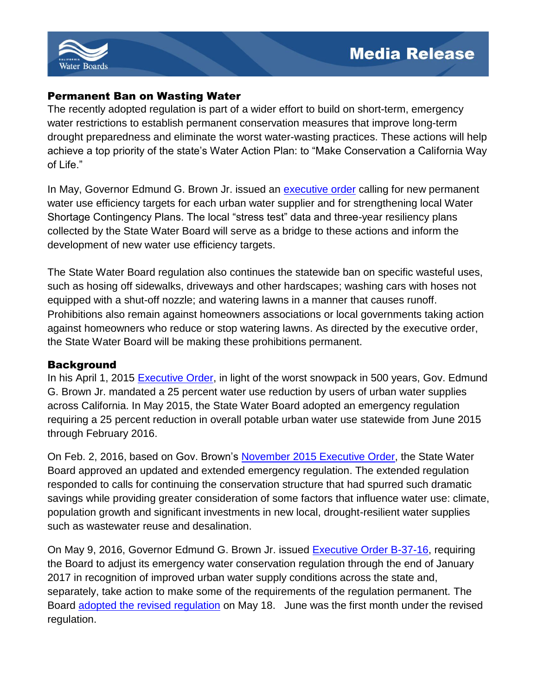

#### Permanent Ban on Wasting Water

The recently adopted regulation is part of a wider effort to build on short-term, emergency water restrictions to establish permanent conservation measures that improve long-term drought preparedness and eliminate the worst water-wasting practices. These actions will help achieve a top priority of the state's Water Action Plan: to "Make Conservation a California Way of Life."

In May, Governor Edmund G. Brown Jr. issued an [executive order](https://www.gov.ca.gov/docs/5.9.16_Attested_Drought_Order.pdf) calling for new permanent water use efficiency targets for each urban water supplier and for strengthening local Water Shortage Contingency Plans. The local "stress test" data and three-year resiliency plans collected by the State Water Board will serve as a bridge to these actions and inform the development of new water use efficiency targets.

The State Water Board regulation also continues the statewide ban on specific wasteful uses, such as hosing off sidewalks, driveways and other hardscapes; washing cars with hoses not equipped with a shut-off nozzle; and watering lawns in a manner that causes runoff. Prohibitions also remain against homeowners associations or local governments taking action against homeowners who reduce or stop watering lawns. As directed by the executive order, the State Water Board will be making these prohibitions permanent.

#### **Background**

In his April 1, 2015 [Executive Order,](http://www.waterboards.ca.gov/waterrights/water_issues/programs/drought/docs/040115_executive_order.pdf) in light of the worst snowpack in 500 years, Gov. Edmund G. Brown Jr. mandated a 25 percent water use reduction by users of urban water supplies across California. In May 2015, the State Water Board adopted an emergency regulation requiring a 25 percent reduction in overall potable urban water use statewide from June 2015 through February 2016.

On Feb. 2, 2016, based on Gov. Brown's [November 2015 Executive Order,](https://www.gov.ca.gov/docs/11.13.15_EO_B-36-15.pdf) the State Water Board approved an updated and extended emergency regulation. The extended regulation responded to calls for continuing the conservation structure that had spurred such dramatic savings while providing greater consideration of some factors that influence water use: climate, population growth and significant investments in new local, drought-resilient water supplies such as wastewater reuse and desalination.

On May 9, 2016, Governor Edmund G. Brown Jr. issued [Executive Order B-37-16,](https://www.gov.ca.gov/docs/5.9.16_Executive_Order.pdf) requiring the Board to adjust its emergency water conservation regulation through the end of January 2017 in recognition of improved urban water supply conditions across the state and, separately, take action to make some of the requirements of the regulation permanent. The Board [adopted the revised regulation](http://www.swrcb.ca.gov/press_room/press_releases/2016/pr051816_waterconsreg.pdf) on May 18. June was the first month under the revised regulation.